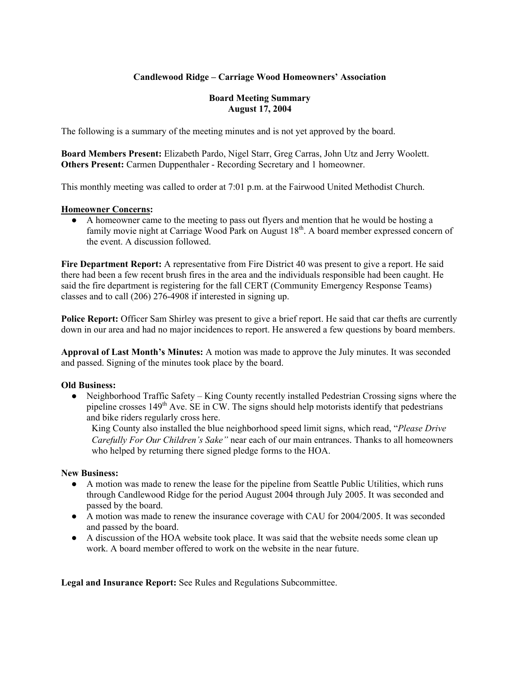## **Candlewood Ridge – Carriage Wood Homeowners' Association**

## **Board Meeting Summary August 17, 2004**

The following is a summary of the meeting minutes and is not yet approved by the board.

**Board Members Present:** Elizabeth Pardo, Nigel Starr, Greg Carras, John Utz and Jerry Woolett. **Others Present:** Carmen Duppenthaler - Recording Secretary and 1 homeowner.

This monthly meeting was called to order at 7:01 p.m. at the Fairwood United Methodist Church.

#### **Homeowner Concerns:**

● A homeowner came to the meeting to pass out flyers and mention that he would be hosting a family movie night at Carriage Wood Park on August 18<sup>th</sup>. A board member expressed concern of the event. A discussion followed.

**Fire Department Report:** A representative from Fire District 40 was present to give a report. He said there had been a few recent brush fires in the area and the individuals responsible had been caught. He said the fire department is registering for the fall CERT (Community Emergency Response Teams) classes and to call (206) 276-4908 if interested in signing up.

**Police Report:** Officer Sam Shirley was present to give a brief report. He said that car thefts are currently down in our area and had no major incidences to report. He answered a few questions by board members.

**Approval of Last Month's Minutes:** A motion was made to approve the July minutes. It was seconded and passed. Signing of the minutes took place by the board.

## **Old Business:**

• Neighborhood Traffic Safety – King County recently installed Pedestrian Crossing signs where the pipeline crosses  $149<sup>th</sup>$  Ave. SE in CW. The signs should help motorists identify that pedestrians and bike riders regularly cross here.

King County also installed the blue neighborhood speed limit signs, which read, "*Please Drive Carefully For Our Children's Sake"* near each of our main entrances. Thanks to all homeowners who helped by returning there signed pledge forms to the HOA.

#### **New Business:**

- A motion was made to renew the lease for the pipeline from Seattle Public Utilities, which runs through Candlewood Ridge for the period August 2004 through July 2005. It was seconded and passed by the board.
- A motion was made to renew the insurance coverage with CAU for 2004/2005. It was seconded and passed by the board.
- A discussion of the HOA website took place. It was said that the website needs some clean up work. A board member offered to work on the website in the near future.

**Legal and Insurance Report:** See Rules and Regulations Subcommittee.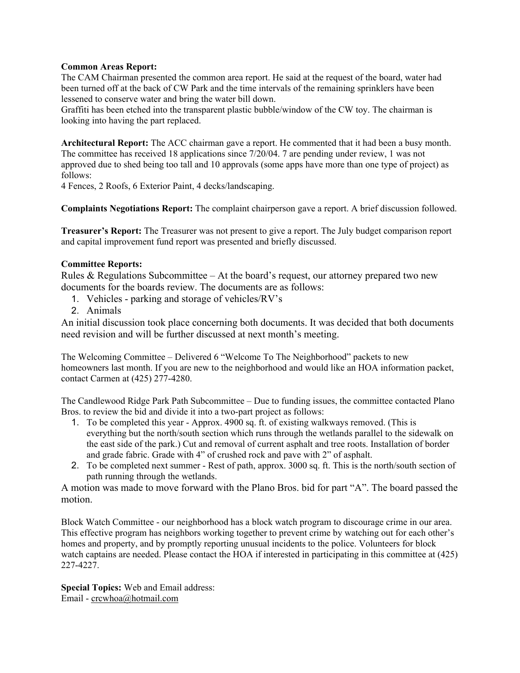## **Common Areas Report:**

The CAM Chairman presented the common area report. He said at the request of the board, water had been turned off at the back of CW Park and the time intervals of the remaining sprinklers have been lessened to conserve water and bring the water bill down.

Graffiti has been etched into the transparent plastic bubble/window of the CW toy. The chairman is looking into having the part replaced.

**Architectural Report:** The ACC chairman gave a report. He commented that it had been a busy month. The committee has received 18 applications since 7/20/04. 7 are pending under review, 1 was not approved due to shed being too tall and 10 approvals (some apps have more than one type of project) as follows:

4 Fences, 2 Roofs, 6 Exterior Paint, 4 decks/landscaping.

**Complaints Negotiations Report:** The complaint chairperson gave a report. A brief discussion followed.

**Treasurer's Report:** The Treasurer was not present to give a report. The July budget comparison report and capital improvement fund report was presented and briefly discussed.

## **Committee Reports:**

Rules  $&$  Regulations Subcommittee – At the board's request, our attorney prepared two new documents for the boards review. The documents are as follows:

- 1. Vehicles parking and storage of vehicles/RV's
- 2. Animals

An initial discussion took place concerning both documents. It was decided that both documents need revision and will be further discussed at next month's meeting.

The Welcoming Committee – Delivered 6 "Welcome To The Neighborhood" packets to new homeowners last month. If you are new to the neighborhood and would like an HOA information packet, contact Carmen at (425) 277-4280.

The Candlewood Ridge Park Path Subcommittee – Due to funding issues, the committee contacted Plano Bros. to review the bid and divide it into a two-part project as follows:

- 1. To be completed this year Approx. 4900 sq. ft. of existing walkways removed. (This is everything but the north/south section which runs through the wetlands parallel to the sidewalk on the east side of the park.) Cut and removal of current asphalt and tree roots. Installation of border and grade fabric. Grade with 4" of crushed rock and pave with 2" of asphalt.
- 2. To be completed next summer Rest of path, approx. 3000 sq. ft. This is the north/south section of path running through the wetlands.

A motion was made to move forward with the Plano Bros. bid for part "A". The board passed the motion.

Block Watch Committee - our neighborhood has a block watch program to discourage crime in our area. This effective program has neighbors working together to prevent crime by watching out for each other's homes and property, and by promptly reporting unusual incidents to the police. Volunteers for block watch captains are needed. Please contact the HOA if interested in participating in this committee at (425) 227-4227.

**Special Topics:** Web and Email address: Email - crcwhoa@hotmail.com